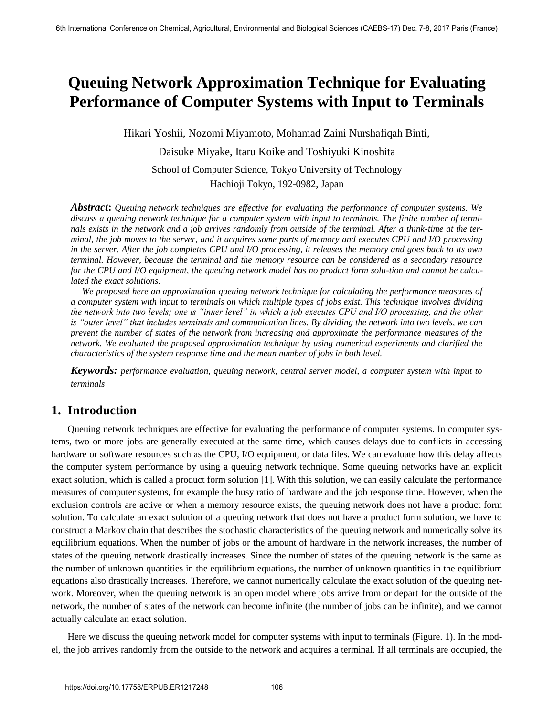# **Queuing Network Approximation Technique for Evaluating Performance of Computer Systems with Input to Terminals**

Hikari Yoshii, Nozomi Miyamoto, Mohamad Zaini Nurshafiqah Binti,

Daisuke Miyake, Itaru Koike and Toshiyuki Kinoshita

School of Computer Science, Tokyo University of Technology Hachioji Tokyo, 192-0982, Japan

*Abstract***:** *Queuing network techniques are effective for evaluating the performance of computer systems. We discuss a queuing network technique for a computer system with input to terminals. The finite number of terminals exists in the network and a job arrives randomly from outside of the terminal. After a think-time at the terminal, the job moves to the server, and it acquires some parts of memory and executes CPU and I/O processing in the server. After the job completes CPU and I/O processing, it releases the memory and goes back to its own terminal. However, because the terminal and the memory resource can be considered as a secondary resource for the CPU and I/O equipment, the queuing network model has no product form solu-tion and cannot be calculated the exact solutions.* 

 *We proposed here an approximation queuing network technique for calculating the performance measures of a computer system with input to terminals on which multiple types of jobs exist. This technique involves dividing the network into two levels; one is "inner level" in which a job executes CPU and I/O processing, and the other is "outer level" that includes terminals and communication lines. By dividing the network into two levels, we can prevent the number of states of the network from increasing and approximate the performance measures of the network. We evaluated the proposed approximation technique by using numerical experiments and clarified the characteristics of the system response time and the mean number of jobs in both level.* 

*Keywords: performance evaluation, queuing network, central server model, a computer system with input to terminals* 

### **1. Introduction**

Queuing network techniques are effective for evaluating the performance of computer systems. In computer systems, two or more jobs are generally executed at the same time, which causes delays due to conflicts in accessing hardware or software resources such as the CPU, I/O equipment, or data files. We can evaluate how this delay affects the computer system performance by using a queuing network technique. Some queuing networks have an explicit exact solution, which is called a product form solution [1]. With this solution, we can easily calculate the performance measures of computer systems, for example the busy ratio of hardware and the job response time. However, when the exclusion controls are active or when a memory resource exists, the queuing network does not have a product form solution. To calculate an exact solution of a queuing network that does not have a product form solution, we have to construct a Markov chain that describes the stochastic characteristics of the queuing network and numerically solve its equilibrium equations. When the number of jobs or the amount of hardware in the network increases, the number of states of the queuing network drastically increases. Since the number of states of the queuing network is the same as the number of unknown quantities in the equilibrium equations, the number of unknown quantities in the equilibrium equations also drastically increases. Therefore, we cannot numerically calculate the exact solution of the queuing network. Moreover, when the queuing network is an open model where jobs arrive from or depart for the outside of the network, the number of states of the network can become infinite (the number of jobs can be infinite), and we cannot actually calculate an exact solution.

Here we discuss the queuing network model for computer systems with input to terminals (Figure. 1). In the model, the job arrives randomly from the outside to the network and acquires a terminal. If all terminals are occupied, the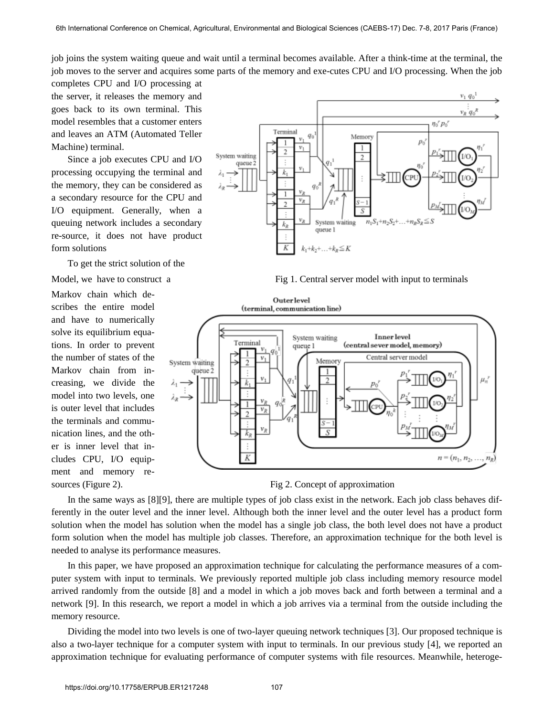job joins the system waiting queue and wait until a terminal becomes available. After a think-time at the terminal, the job moves to the server and acquires some parts of the memory and exe-cutes CPU and I/O processing. When the job

completes CPU and I/O processing at the server, it releases the memory and goes back to its own terminal. This model resembles that a customer enters and leaves an ATM (Automated Teller Machine) terminal.

Since a job executes CPU and I/O processing occupying the terminal and the memory, they can be considered as a secondary resource for the CPU and I/O equipment. Generally, when a queuing network includes a secondary re-source, it does not have product form solutions

To get the strict solution of the

Markov chain which describes the entire model and have to numerically solve its equilibrium equations. In order to prevent the number of states of the Markov chain from increasing, we divide the model into two levels, one is outer level that includes the terminals and communication lines, and the other is inner level that includes CPU, I/O equipment and memory re-



Model, we have to construct a Fig 1. Central server model with input to terminals





In the same ways as [8][9], there are multiple types of job class exist in the network. Each job class behaves differently in the outer level and the inner level. Although both the inner level and the outer level has a product form solution when the model has solution when the model has a single job class, the both level does not have a product form solution when the model has multiple job classes. Therefore, an approximation technique for the both level is needed to analyse its performance measures.

In this paper, we have proposed an approximation technique for calculating the performance measures of a computer system with input to terminals. We previously reported multiple job class including memory resource model arrived randomly from the outside [8] and a model in which a job moves back and forth between a terminal and a network [9]. In this research, we report a model in which a job arrives via a terminal from the outside including the memory resource.

Dividing the model into two levels is one of two-layer queuing network techniques [3]. Our proposed technique is also a two-layer technique for a computer system with input to terminals. In our previous study [4], we reported an approximation technique for evaluating performance of computer systems with file resources. Meanwhile, heteroge-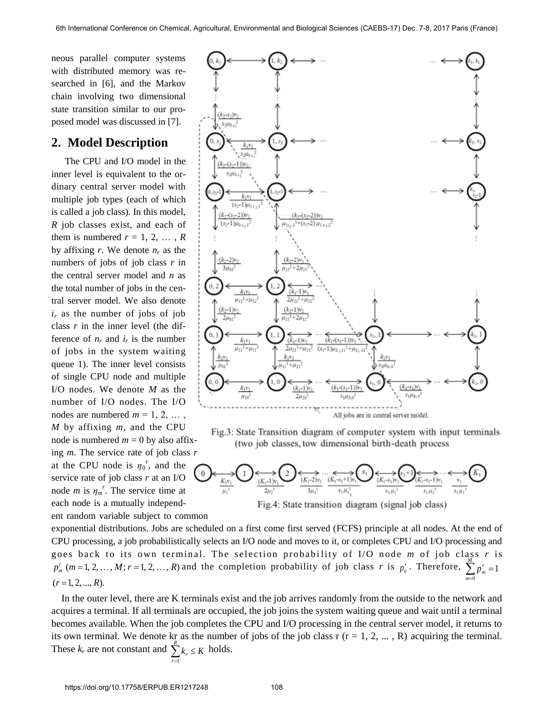neous parallel computer systems with distributed memory was researched in [6], and the Markov chain involving two dimensional state transition similar to our proposed model was discussed in [7].

### **2. Model Description**

The CPU and I/O model in the inner level is equivalent to the ordinary central server model with multiple job types (each of which is called a job class). In this model, *R* job classes exist, and each of them is numbered  $r = 1, 2, \ldots, R$ by affixing  $r$ . We denote  $n_r$  as the numbers of jobs of job class *r* in the central server model and *n* as the total number of jobs in the central server model. We also denote *ir* as the number of jobs of job class *r* in the inner level (the difference of  $n_r$  and  $i_r$  is the number of jobs in the system waiting queue 1). The inner level consists of single CPU node and multiple I/O nodes. We denote *M* as the number of I/O nodes. The I/O nodes are numbered  $m = 1, 2, \ldots$ , *M* by affixing *m*, and the CPU node is numbered  $m = 0$  by also affixing *m*. The service rate of job class *r*

at the CPU node is  $\eta_0^r$ , and the service rate of job class *r* at an I/O node *m* is  $\eta_m^r$ . The service time at each node is a mutually independent random variable subject to common







exponential distributions. Jobs are scheduled on a first come first served (FCFS) principle at all nodes. At the end of CPU processing, a job probabilistically selects an I/O node and moves to it, or completes CPU and I/O processing and goes back to its own terminal. The selection probabi lity of I/O node *m* of job class *r* is  $p_m^r$  (*m* = 1, 2, ..., *M*; *r* = 1, 2, ..., *R*) and the completion probability of job class *r* is  $p_0^r$ . Therefore,  $\sum_{m=1}^{M} p_m^r = 1$  $\equiv$ *m* 0  $(r=1, 2, ..., R)$ .

 In the outer level, there are K terminals exist and the job arrives randomly from the outside to the network and acquires a terminal. If all terminals are occupied, the job joins the system waiting queue and wait until a terminal becomes available. When the job completes the CPU and I/O processing in the central server model, it returns to its own terminal. We denote  $k_{\frac{R}{6}}$  as the number of jobs of the job class r (r = 1, 2, ..., R) acquiring the terminal. These  $k_r$  are not constant and  $\sum k_r \leq K$  holds.

*r*  $=1$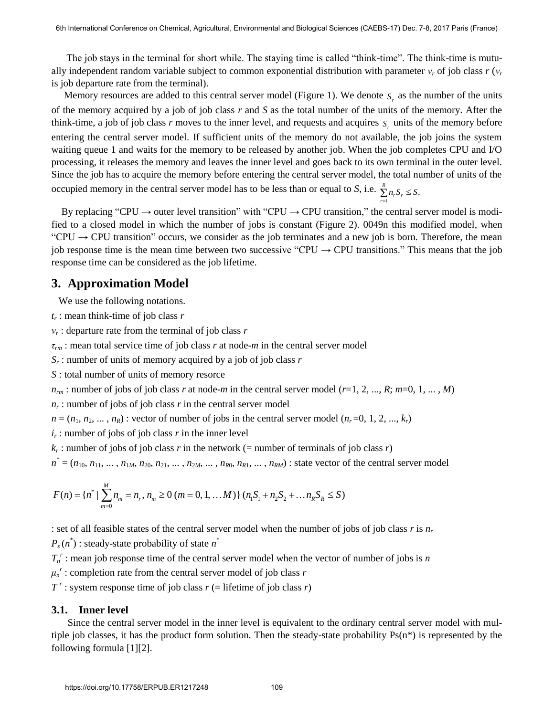The job stays in the terminal for short while. The staying time is called "think-time". The think-time is mutually independent random variable subject to common exponential distribution with parameter  $v_r$  of job class  $r(v_r)$ is job departure rate from the terminal).

Memory resources are added to this central server model (Figure 1). We denote  $S<sub>r</sub>$  as the number of the units of the memory acquired by a job of job class *r* and *S* as the total number of the units of the memory. After the think-time, a job of job class  $r$  moves to the inner level, and requests and acquires  $s_r$  units of the memory before entering the central server model. If sufficient units of the memory do not available, the job joins the system waiting queue 1 and waits for the memory to be released by another job. When the job completes CPU and I/O processing, it releases the memory and leaves the inner level and goes back to its own terminal in the outer level. Since the job has to acquire the memory before entering the central server model, the total number of units of the occupied memory in the central server model has to be less than or equal to *S*, i.e.  $\sum_{i=1}^{R} n_i S_i \leq S$ .

By replacing "CPU  $\rightarrow$  outer level transition" with "CPU  $\rightarrow$  CPU transition," the central server model is modified to a closed model in which the number of jobs is constant (Figure 2). 0049n this modified model, when "CPU  $\rightarrow$  CPU transition" occurs, we consider as the job terminates and a new job is born. Therefore, the mean job response time is the mean time between two successive "CPU  $\rightarrow$  CPU transitions." This means that the job response time can be considered as the job lifetime.

1 *r*  $=$ 

### **3. Approximation Model**

We use the following notations.

- *tr* : mean think-time of job class *r*
- *νr* : departure rate from the terminal of job class *r*

*τrm* : mean total service time of job class *r* at node-*m* in the central server model

*Sr* : number of units of memory acquired by a job of job class *r* 

*S* : total number of units of memory resorce

 $n<sub>rm</sub>$ : number of jobs of job class *r* at node-*m* in the central server model ( $r=1, 2, ..., R$ ;  $m=0, 1, ..., M$ )

 $n_r$ : number of jobs of job class  $r$  in the central server model

 $n = (n_1, n_2, \dots, n_R)$ : vector of number of jobs in the central server model  $(n_r=0, 1, 2, \dots, k_r)$ 

 $i_r$ : number of jobs of job class  $r$  in the inner level

 $k_r$ : number of jobs of job class *r* in the network (= number of terminals of job class *r*)

 $n^* = (n_{10}, n_{11}, \dots, n_{1M}, n_{20}, n_{21}, \dots, n_{2M}, \dots, n_{R0}, n_{R1}, \dots, n_{RM})$ : state vector of the central server model

$$
F(n) = \{n^* \mid \sum_{m=0}^{M} n_m = n_r, n_m \ge 0 \ (m = 0, 1, ... M) \} \ (n_1 S_1 + n_2 S_2 + ... n_R S_R \le S)
$$

: set of all feasible states of the central server model when the number of jobs of job class *r* is *n<sup>r</sup>*

 $P_s(n^*)$ : steady-state probability of state  $n^*$ 

 $T_n^r$ : mean job response time of the central server model when the vector of number of jobs is *n* 

 $\mu_n^r$ : completion rate from the central server model of job class *r* 

 $T^r$ : system response time of job class  $r$  (= lifetime of job class  $r$ )

#### **3.1. Inner level**

Since the central server model in the inner level is equivalent to the ordinary central server model with multiple job classes, it has the product form solution. Then the steady-state probability  $Ps(n^*)$  is represented by the following formula [1][2].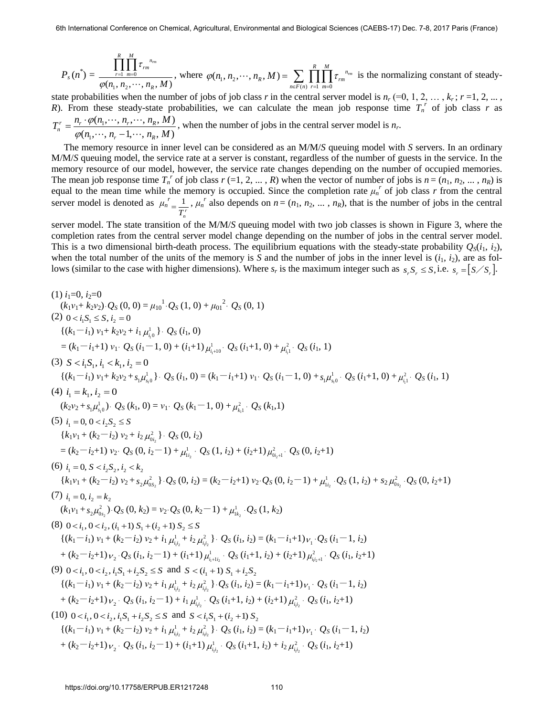$$
P_s(n^*) = \frac{\prod_{r=1}^R \prod_{m=0}^M \tau_{rm}^{n_m}}{\varphi(n_1, n_2, \cdots, n_R, M)},
$$
 where  $\varphi(n_1, n_2, \cdots, n_R, M) = \sum_{n \in F(n)} \prod_{r=1}^R \prod_{m=0}^M \tau_{rm}^{n_m}$  is the normalizing constant of steady-

state probabilities when the number of jobs of job class *r* in the central server model is  $n_r (=0, 1, 2, \ldots, k_r; r=1, 2, \ldots,$ *R*). From these steady-state probabilities, we can calculate the mean job response time  $T_n^r$  of job class *r* as  $(n_1, \dots, n_r-1, \dots, n_k,M)$  $(n_1,\dots,n_r,\dots,n_k,M)$ 1 1  $n_1, \dots, n_r-1, \dots, n_k, M$  $T_n^r = \frac{n_r \cdot \varphi(n_1, \dots, n_r, \dots, n_R, M)}{n_r}$  $r^{n}$ ,  $n_R$  $n_r^n = \frac{n_r \cdot \varphi(n_1, \dots, n_r, \dots, n_R)}{\varphi(n_1, \dots, n_r - 1, \dots, n_R)}$  $\cdots$ ,  $n_r$ ,  $\cdots$  $\overline{a}$  $=\frac{n_r}{n}$  $\varphi$  $\overline{\varphi(n_1, \dots, n_r, \dots, n_R, M)}$ , when the number of jobs in the central server model is  $n_r$ .

 The memory resource in inner level can be considered as an M/M/*S* queuing model with *S* servers. In an ordinary M/M/*S* queuing model, the service rate at a server is constant, regardless of the number of guests in the service. In the memory resource of our model, however, the service rate changes depending on the number of occupied memories. The mean job response time  $T_n^r$  of job class  $r = 1, 2, ..., R$ ) when the vector of number of jobs is  $n = (n_1, n_2, ..., n_R)$  is equal to the mean time while the memory is occupied. Since the completion rate  $\mu_n^r$  of job class  $r$  from the central server model is denoted as  $\mu_n^r$  $T_n^r$  $=\frac{1}{n}$ ,  $\mu_n^r$  also depends on  $n=(n_1, n_2, ..., n_R)$ , that is the number of jobs in the central

server model. The state transition of the M/M/*S* queuing model with two job classes is shown in Figure 3, where the completion rates from the central server model change depending on the number of jobs in the central server model. This is a two dimensional birth-death process. The equilibrium equations with the steady-state probability  $Q_s(i_1, i_2)$ , when the total number of the units of the memory is *S* and the number of jobs in the inner level is  $(i_1, i_2)$ , are as follows (similar to the case with higher dimensions). Where  $s_r$  is the maximum integer such as  $s_r S_r \leq S$ , i.e.  $s_r = [S/S_r]$ .

(1) 
$$
i_1=0, i_2=0
$$
  
\n $(k_1v_1+k_2v_2).Q_S(0, 0) = \mu_{10}^{-1} \cdot Q_S(1, 0) + \mu_{01}^{-2} \cdot Q_S(0, 1)$   
\n(2)  $0 < i_1S_1 \leq S, i_2 = 0$   
\n $\{(k_1 - i_1) v_1 + k_2v_2 + i_1 \mu_{i_0}^1\} \cdot Q_S(i_1, 0)$   
\n $= (k_1 - i_1 + 1) v_1 \cdot Q_S(i_1 - 1, 0) + (i_1 + 1) \mu_{i_1+1}^1 \cdot Q_S(i_1 + 1, 0) + \mu_{i_1}^2 \cdot Q_S(i_1, 1)$   
\n(3)  $S < i_1S_1, i_1 < k_1, i_2 = 0$   
\n $\{(k_1 - i_1) v_1 + k_2v_2 + s_1\mu_{i_0}^1\} \cdot Q_S(i_1, 0) = (k_1 - i_1 + 1) v_1 \cdot Q_S(i_1 - 1, 0) + s_1\mu_{i_0}^1 \cdot Q_S(i_1 + 1, 0) + \mu_{i_1}^2 \cdot Q_S(i_1, 1)$   
\n(4)  $i_1 = k_1, i_2 = 0$   
\n $(k_2v_2 + s_1\mu_{i_0}^1) \cdot Q_S(k_1, 0) = v_1 \cdot Q_S(k_1 - 1, 0) + \mu_{i_1}^2 \cdot Q_S(k_1, 1)$   
\n(5)  $i_1 = 0, 0 < i_2S_2 \leq S$   
\n $\{k_1v_1 + (k_2 - i_2) v_2 + i_2 \mu_{0i_2}^2\} \cdot Q_S(0, i_2)$   
\n $= (k_2 - i_2 + 1) v_2 \cdot Q_S(0, i_2 - 1) + \mu_{i_1}^1 \cdot Q_S(1, i_2) + (i_2 + 1) \mu_{0_{i_1}+1}^2 \cdot Q_S(0, i_2 + 1)$   
\n(6)  $i_1 = 0, S < i_2S_2, i_2 < k_2$   
\n $\{k_1v_1 + (k_2$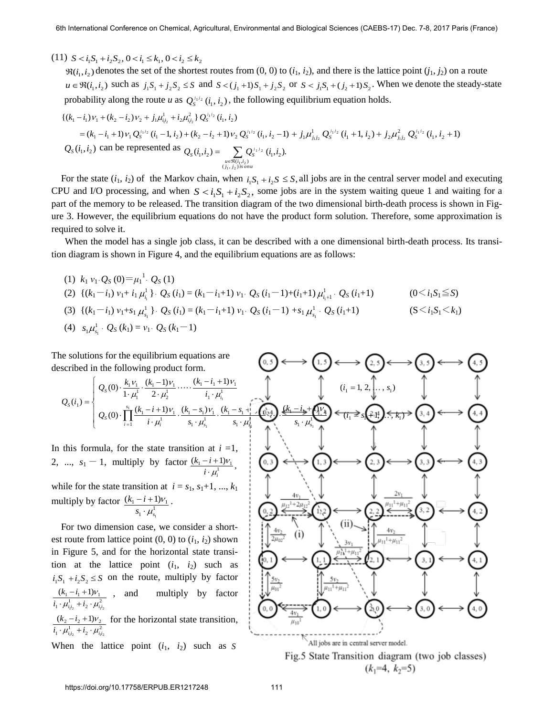$(11)$   $S < i_1S_1 + i_2S_2, 0 < i_1 \leq k_1, 0 < i_2 \leq k_2$ 

 $\Re(i_1, i_2)$  denotes the set of the shortest routes from  $(0, 0)$  to  $(i_1, i_2)$ , and there is the lattice point  $(j_1, j_2)$  on a route  $u \in \mathfrak{R}(i_1, i_2)$  such as  $j_1 S_1 + j_2 S_2 \leq S$  and  $S < (j_1 + 1)S_1 + j_2 S_2$  or  $S < j_1 S_1 + (j_2 + 1)S_2$ . When we denote the steady-state probability along the route *u* as  $Q_s^{i_1 i_2}$  ( $i_1, i_2$ ), the following equilibrium equation holds.

$$
\begin{split}\n& \{ (k_1 - i_1) \, v_1 + (k_2 - i_2) \, v_2 + j_1 \mu_{i_1 i_2}^1 + i_2 \mu_{i_1 i_2}^2 \} \, Q_S^{i_1 i_2} \left( i_1, i_2 \right) \\
&= (k_1 - i_1 + 1) \, v_1 \, Q_S^{i_1 i_2} \left( i_1 - 1, i_2 \right) + (k_2 - i_2 + 1) \, v_2 \, Q_S^{i_1 i_2} \left( i_1, i_2 - 1 \right) + j_1 \mu_{i_1 i_2}^1 \, Q_S^{i_1 i_2} \left( i_1 + 1, i_2 \right) + j_2 \mu_{i_1 i_2}^2 \, Q_S^{i_1 i_2} \left( i_1, i_2 + 1 \right) \\
& Q_S \left( i_1, i_2 \right) \text{ can be represented as } Q_S \left( i_1, i_2 \right) = \sum_{\substack{u \in \Re(i_1, i_2) \\ (j_1, j_2) \text{ is on } u}} Q_S^{i_1 i_2} \left( i_1, i_2 \right).\n\end{split}
$$

For the state  $(i_1, i_2)$  of the Markov chain, when  $i_1 S_1 + i_2 S \leq S$ , all jobs are in the central server model and executing CPU and I/O processing, and when  $S < i_1 S_1 + i_2 S_2$ , some jobs are in the system waiting queue 1 and waiting for a part of the memory to be released. The transition diagram of the two dimensional birth-death process is shown in Figure 3. However, the equilibrium equations do not have the product form solution. Therefore, some approximation is required to solve it.

When the model has a single job class, it can be described with a one dimensional birth-death process. Its transition diagram is shown in Figure 4, and the equilibrium equations are as follows:

- (1)  $k_1 v_1 Q_S(0) = \mu_1^{-1} Q_S(1)$
- (2)  $\{(k_1 i_1) v_1 + i_1 \mu^1$  $\mu_{i_1}^1$   $\}$   $\cdot$   $Q_s$  (*i*<sub>1</sub>) = (*k*<sub>1</sub>-*i*<sub>1</sub>+1) *v*<sub>1</sub>  $\cdot$   $Q_s$  (*i*<sub>1</sub>-1)+(*i*<sub>1</sub>+1)  $\mu_{i_1+1}^1$  $(0 \le i_1 S_1 \le S)$
- (3)  $\{(k_1 i_1) v_1 + s_1 \mu_{s_1}^1$  $\mu_{s_1}^1$   $\}$   $\cdot$   $Q_s$  (*i*<sub>1</sub>) = (*k*<sub>1</sub>-*i*<sub>1</sub>+1) *v*<sub>1</sub>.  $Q_s$  (*i*<sub>1</sub>-1) + *s*<sub>1</sub> $\mu_{s_1}^1$  $\mu_{s_1}^{\text{I}}$  .  $(S \leq i_1 S_1 \leq k_1)$
- (4)  $s_1 \mu_{s_1}^1 \cdot Q_s(k_1) = v_1 \cdot Q_s(k_1-1)$

The solutions for the equilibrium equations are described in the following product form.

$$
Q_{s}(i_{1}) = \begin{cases} Q_{s}(0) \cdot \frac{k_{1}v_{1}}{1 \cdot \mu_{1}^{1}} \cdot \frac{(k_{1}-1)v_{1}}{2 \cdot \mu_{2}^{1}} \cdot \cdots \cdot \frac{(k_{1}-i_{1}+1)v_{1}}{i_{1} \cdot \mu_{i_{1}}^{1}} & (i_{1} = 1, 2, \dots, n_{i_{1}}) \\ Q_{s}(0) \cdot \prod_{i=1}^{s_{1}} \frac{(k_{1}-i+1)v_{1}}{i \cdot \mu_{i_{1}}^{1}} \cdot \frac{(k_{1}-s_{1})v_{1}}{s_{1} \cdot \mu_{s_{1}}^{1}} \cdot \frac{(k_{1}-s_{1}+1)v_{1}}{s_{1} \cdot \mu_{s_{1}}^{1}} & (i_{1} = 1, 2, \dots, n_{i_{s}}) \end{cases}
$$

In this formula, for the state transition at  $i = 1$ , 2, ...,  $s_1 - 1$ , multiply by factor  $\frac{(k_1 - i + 1)v_1}{(k_1 - i + 1)v_1}$ ,  $\frac{i+i+1}{i\cdot\mu_i^1}$ *i*  $k<sub>1</sub> - i$  $\mu_i$ V  $\ddot{\phantom{0}}$  $-i +$ while for the state transition at  $i = s_1, s_1+1, ..., k_1$ multiply by factor  $\frac{(k_1 - i + 1)}{s_1 \cdot \mu_{s_1}^1}$  $1 - i + 1/r_1$  $(k_1-i+1)$  $s_{1} \cdot \mu_{s}^{1}$  $k<sub>1</sub> - i$  $\mu$ V .  $\frac{-i+1}{\nu_1}$ .

1

 For two dimension case, we consider a shortest route from lattice point  $(0, 0)$  to  $(i_1, i_2)$  shown in Figure 5, and for the horizontal state transition at the lattice point  $(i_1, i_2)$  such as  $i_1 S_1 + i_2 S_2 \leq S$  on the route, multiply by factor  $\mu_{i_1i_2}^1 + i_2 \cdot \mu_{i_1i}^2$  $(k_1 - i_1 + 1)v_1$  $1^{l_2}$  2  $l_1^{l_2}$  $i_1 \cdot \mu_{i_1 i_2}^1 + i_2 \cdot \mu_{i_1 i_2}^2$  $k<sub>1</sub> - i$  $\mu_{i,j}$  +  $i, \cdot \mu_{j}$ V  $\cdot \mu_{\scriptscriptstyle i\scriptscriptstyle j\scriptscriptstyle 2}^{\scriptscriptstyle 1} + i$ ,  $\cdot$  $-i_1 +$ multiply by factor  $\mu_{i_1i_2}^1 + i_2 \cdot \mu_{i_1i}^2$  $2 - i_2 + i_1 v_2$  $(k, -i, +1)$  $i_1 \cdot \mu_{i_1i_2}^1 + i_2 \cdot \mu_{i_1i}^2$  $k<sub>2</sub> - i$  $\mu_{i,j} + \nu_{2} \cdot \mu_{i}$ V  $\cdot \mu_{ii}^1 + i, \cdot$  $-i_2+1)v_2$  for the horizontal state transition,

When the lattice point  $(i_1, i_2)$  such as S

 $1^{l_2}$  2  $1^{l_1}$ 



Fig.5 State Transition diagram (two job classes)  $(k_1=4, k_2=5)$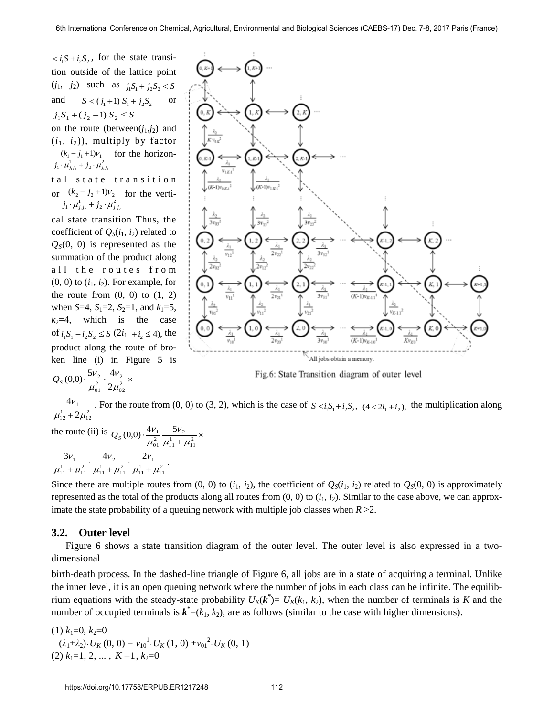$\langle i_1 S + i_2 S_2,$  for the state transition outside of the lattice point  $(j_1, j_2)$  such as  $j_1S_1 + j_2S_2 < S$ and  $S < (j_1 + 1) S_1 + j_2 S_2$ or  $j_1 S_1 + (j_2 + 1) S_2 \leq S$ on the route (between( $j_1$ , $j_2$ ) and  $(i_1, i_2)$ , multiply by factor  $j_1 \cdot \mu_{j_1j_2}^1 + j_2 \cdot \mu_{j_1j_2}^2$  $(k_1 - j_1 + 1)v_1$  for the horizontal state transition or  $\frac{(k_2 - j_2 + 1)v_2}{(k_2 - j_2 + 1)v_2}$  for the verti $j_1 \cdot \mu_{j_1j_2}^1 + j_2 \cdot \mu_{j_1j_2}^2$ cal state transition Thus, the coefficient of  $Q_S(i_1, i_2)$  related to  $Q<sub>S</sub>(0, 0)$  is represented as the summation of the product along all the routes from  $(0, 0)$  to  $(i_1, i_2)$ . For example, for the route from  $(0, 0)$  to  $(1, 2)$ when *S*=4, *S*<sub>1</sub>=2, *S*<sub>2</sub>=1, and  $k_1$ =5,  $k_2=4$ , which is the case of  $i_1 S_1 + i_2 S_2 \le S$  (2 $i_1 + i_2 \le 4$ ), the product along the route of bro-

$$
Q_{s}(0,0)\cdot\frac{5v_{2}}{\mu_{01}^{2}}\cdot\frac{4v_{2}}{2\mu_{02}^{2}}\times
$$

ken line (i) in Figure 5 is

 $v_{12}$  $3v_{12}$  $(K-1)v_{K-11}$ All jobs obtain a memory.

Fig.6: State Transition diagram of outer level

 $^{1}_{12} + 2\mu_{12}^{2}$ 1 2 4  $\mu_{12}^2 + 2\mu_1$  $\boldsymbol{\nu}$  $\ddot{}$ . For the route from (0, 0) to (3, 2), which is the case of  $S \lt i_1 S_1 + i_2 S_2$ ,  $(4 \lt 2i_1 + i_2)$ , the multiplication along

the route (ii) is  $Q_S(0,0) \cdot \frac{4v_1}{\mu_{01}^2} \frac{5v_2}{\mu_{11}^1 + \mu_{11}^2} \times$  $\frac{\frac{v_1}{2}}{01} \frac{\frac{v_2}{2}}{\mu_{11}^1 + \mu_{22}^2}$  $(0,0) \cdot \frac{4v_1}{\mu_{01}^2} \frac{5v_2}{\mu_{11}^1 + \mu}$ ۱V  $\mu$  $Q_{S}(0,0)\cdot \frac{4V}{2}$  $\frac{3v_1}{2} \cdot \frac{4v_2}{1} \cdot \frac{2v_1}{1} \cdot \frac{2v_1}{1}$  $\frac{1}{11} + \mu_{11}^2$  $\frac{4v_2}{11+\mu_{11}^2} \cdot \frac{2v_1}{\mu_{11}^1 + \mu_{11}^2}$  $\frac{3v_1}{\mu_{11}^1 + \mu_{11}^2} \cdot \frac{4v_2}{\mu_{11}^1 + \mu_{11}^2}$ 1  $\mu_{11} + \mu_{12}$  $\cdot \nu$  $\mu_{11} + \mu_{12}$ ۰v  $\mu_{11} + \mu_{12}$ ۱V  $+\mu_{11}^2 \cdot \frac{4v_2}{\mu_{11}^1 + \mu_{11}^2} \cdot \frac{2v_1}{\mu_{11}^1 + \mu_{11}^2}$ 

Since there are multiple routes from  $(0, 0)$  to  $(i_1, i_2)$ , the coefficient of  $Q_S(i_1, i_2)$  related to  $Q_S(0, 0)$  is approximately represented as the total of the products along all routes from  $(0, 0)$  to  $(i_1, i_2)$ . Similar to the case above, we can approximate the state probability of a queuing network with multiple job classes when  $R > 2$ .

#### **3.2. Outer level**

Figure 6 shows a state transition diagram of the outer level. The outer level is also expressed in a twodimensional

birth-death process. In the dashed-line triangle of Figure 6, all jobs are in a state of acquiring a terminal. Unlike the inner level, it is an open queuing network where the number of jobs in each class can be infinite. The equilibrium equations with the steady-state probability  $U_K(k^*) = U_K(k_1, k_2)$ , when the number of terminals is *K* and the number of occupied terminals is  $\mathbf{k}^* = (k_1, k_2)$ , are as follows (similar to the case with higher dimensions).

 $(1)$   $k_1=0$ ,  $k_2=0$  $(\lambda_1 + \lambda_2) \cdot U_K(0, 0) = v_{10}^{1} \cdot U_K(1, 0) + v_{01}^{2} \cdot U_K(0, 1)$  $(2)$   $k_1=1, 2, \ldots, K-1, k_2=0$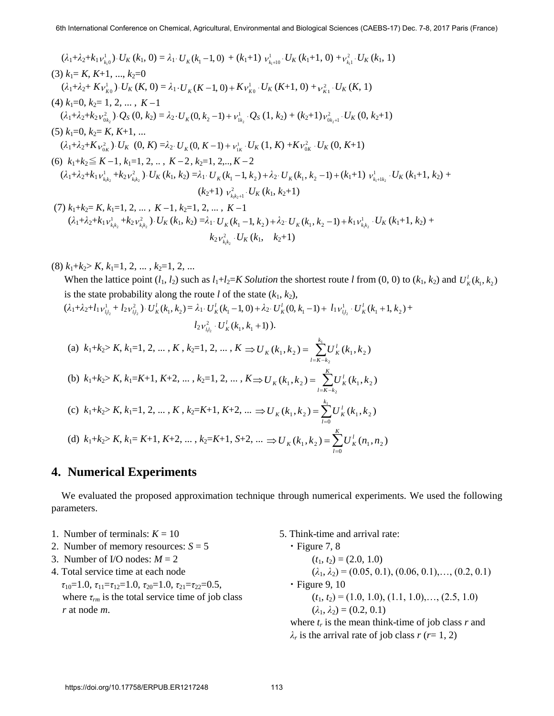$$
(\lambda_1 + \lambda_2 + k_1 v_{k_10}^1) \cdot U_K (k_1, 0) = \lambda_1 \cdot U_K (k_1 - 1, 0) + (k_1 + 1) v_{k_1 + 10}^1 \cdot U_K (k_1 + 1, 0) + v_{k_1}^2 \cdot U_K (k_1, 1)
$$
\n
$$
(3) k_1 = K, K+1, ..., k_2 = 0
$$
\n
$$
(\lambda_1 + \lambda_2 + K v_{k_0}^1) \cdot U_K (K, 0) = \lambda_1 \cdot U_K (K-1, 0) + K v_{k_0}^1 \cdot U_K (K+1, 0) + v_{k_1}^2 \cdot U_K (K, 1)
$$
\n
$$
(4) k_1 = 0, k_2 = 1, 2, ..., K-1
$$
\n
$$
(\lambda_1 + \lambda_2 + k_2 v_{0k_2}^2) \cdot Q_S (0, k_2) = \lambda_2 \cdot U_K (0, k_2 - 1) + v_{1k_2}^1 \cdot Q_S (1, k_2) + (k_2 + 1) v_{0k_2 + 1}^2 \cdot U_K (0, k_2 + 1)
$$
\n
$$
(5) k_1 = 0, k_2 = K, K+1, ...
$$
\n
$$
(\lambda_1 + \lambda_2 + K v_{0K}^2) \cdot U_K (0, K) = \lambda_2 \cdot U_K (0, K-1) + v_{1K}^1 \cdot U_K (1, K) + K v_{0K}^2 \cdot U_K (0, K+1)
$$
\n
$$
(6) k_1 + k_2 \leq K - 1, k_1 = 1, 2, ..., K - 2, k_2 = 1, 2, ..., K - 2
$$
\n
$$
(\lambda_1 + \lambda_2 + k_1 v_{k,k_2}^1 + k_2 v_{k,k_2}^2) \cdot U_K (k_1, k_2) = \lambda_1 \cdot U_K (k_1 - 1, k_2) + \lambda_2 \cdot U_K (k_1, k_2 - 1) + (k_1 + 1) v_{k_1 + k_2}^1 \cdot U_K (k_1 + 1, k_2) + (k_2 + 1) v_{k_1 + k_2}^2 \cdot U_K (k_1, k_2 + 1)
$$
\n
$$
(7) k_1 + k_2
$$

 $(8)$   $k_1+k_2 > K$ ,  $k_1=1, 2, ..., k_2=1, 2, ...$ 

When the lattice point  $(l_1, l_2)$  such as  $l_1 + l_2 = K$  Solution the shortest route *l* from  $(0, 0)$  to  $(k_1, k_2)$  and  $U_K^l(k_1, k_2)$ is the state probability along the route *l* of the state  $(k_1, k_2)$ ,

$$
(\lambda_1 + \lambda_2 + l_1 v_{l_1 l_2}^1 + l_2 v_{l_1 l_2}^2) \cdot U_K^l(k_1, k_2) = \lambda_1 \cdot U_K^l(k_1 - 1, 0) + \lambda_2 \cdot U_K^l(0, k_1 - 1) + l_1 v_{l_1 l_2}^1 \cdot U_K^l(k_1 + 1, k_2) + l_2 v_{l_1 l_2}^2 \cdot U_K^l(k_1, k_1 + 1).
$$

(a) 
$$
k_1+k_2 > K
$$
,  $k_1=1, 2, ..., K$ ,  $k_2=1, 2, ..., K \Rightarrow U_K(k_1, k_2) = \sum_{l=K-k_2}^{k_1} U_K^l(k_1, k_2)$   
\n(b)  $k_1+k_2 > K$ ,  $k_1=K+1$ ,  $K+2, ..., k_2=1, 2, ..., K \Rightarrow U_K(k_1, k_2) = \sum_{l=K-k_2}^{K} U_K^l(k_1, k_2)$   
\n(c)  $k_1+k_2 > K$ ,  $k_1=1, 2, ..., K$ ,  $k_2=K+1$ ,  $K+2, ..., \Rightarrow U_K(k_1, k_2) = \sum_{l=0}^{k_1} U_K^l(k_1, k_2)$   
\n(d)  $k_1+k_2 > K$ ,  $k_1=K+1$ ,  $K+2, ..., k_2=K+1$ ,  $S+2, ..., \Rightarrow U_K(k_1, k_2) = \sum_{l=0}^{K} U_K^l(n_1, n_2)$ 

## **4. Numerical Experiments**

 We evaluated the proposed approximation technique through numerical experiments. We used the following parameters.

- 1. Number of terminals:  $K = 10$  5. Think-time and arrival rate:
- 2. Number of memory resources:  $S = 5$
- 3. Number of I/O nodes:  $M = 2$
- 4. Total service time at each node *τ*<sub>10</sub>=1.0, *τ*<sub>11</sub>=*τ*<sub>12</sub>=1.0, *τ*<sub>20</sub>=1.0, *τ*<sub>21</sub>=*τ*<sub>22</sub>=0.5, where  $\tau_{rm}$  is the total service time of job class *r* at node *m*.
- 

• Figure 7, 8  
\n(
$$
t_1, t_2
$$
) = (2.0, 1.0)  
\n( $\lambda_1, \lambda_2$ ) = (0.05, 0.1), (0.06, 0.1),..., (0.2, 0.1)  
\n• Figure 9, 10  
\n( $t_1, t_2$ ) = (1.0, 1.0), (1.1, 1.0),..., (2.5, 1.0)  
\n( $\lambda_1, \lambda_2$ ) = (0.2, 0.1)  
\nwhere  $t_r$  is the mean think-time of job class *r* and

*λ*<sup>*r*</sup> is the arrival rate of job class *r* (*r*= 1, 2)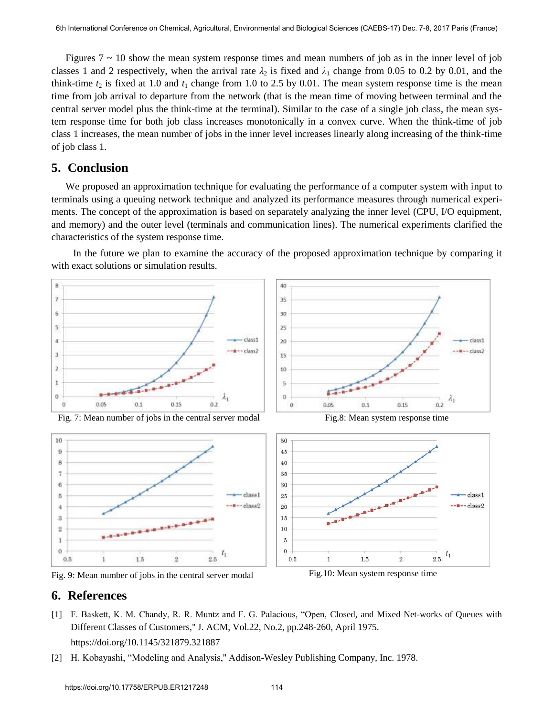Figures  $7 \sim 10$  show the mean system response times and mean numbers of job as in the inner level of job classes 1 and 2 respectively, when the arrival rate  $\lambda_2$  is fixed and  $\lambda_1$  change from 0.05 to 0.2 by 0.01, and the think-time  $t_2$  is fixed at 1.0 and  $t_1$  change from 1.0 to 2.5 by 0.01. The mean system response time is the mean time from job arrival to departure from the network (that is the mean time of moving between terminal and the central server model plus the think-time at the terminal). Similar to the case of a single job class, the mean system response time for both job class increases monotonically in a convex curve. When the think-time of job class 1 increases, the mean number of jobs in the inner level increases linearly along increasing of the think-time of job class 1.

## **5. Conclusion**

We proposed an approximation technique for evaluating the performance of a computer system with input to terminals using a queuing network technique and analyzed its performance measures through numerical experiments. The concept of the approximation is based on separately analyzing the inner level (CPU, I/O equipment, and memory) and the outer level (terminals and communication lines). The numerical experiments clarified the characteristics of the system response time.

 In the future we plan to examine the accuracy of the proposed approximation technique by comparing it with exact solutions or simulation results.



Fig. 9: Mean number of jobs in the central server modal Fig.10: Mean system response time

## **6. References**

[1] [F. Baskett, K. M. Chandy, R. R. Muntz and F. G. Palacious, "Open, Closed, and Mixed Net-works of Queues with](https://doi.org/10.1145/321879.321887)  [Different Classes of Customers,'' J. ACM, Vol.22, No.2, pp.248-260, April 1975.](https://doi.org/10.1145/321879.321887) 

https://doi.org/10.1145/321879.321887

[2] H. Kobayashi, "Modeling and Analysis,'' Addison-Wesley Publishing Company, Inc. 1978.